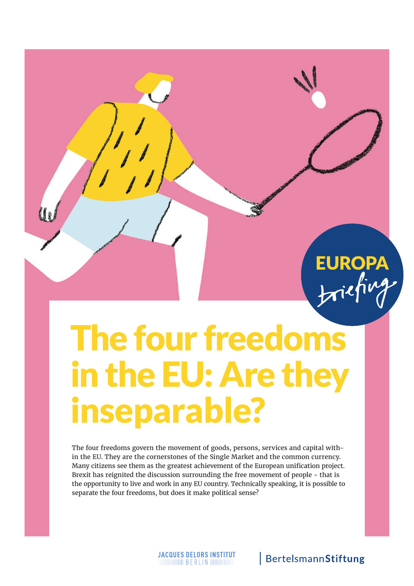# The four freedoms in the EU: Are they inseparable?

The four freedoms govern the movement of goods, persons, services and capital within the EU. They are the cornerstones of the Single Market and the common currency. Many citizens see them as the greatest achievement of the European unifcation project. Brexit has reignited the discussion surrounding the free movement of people - that is the opportunity to live and work in any EU country. Technically speaking, it is possible to separate the four freedoms, but does it make political sense?

## BertelsmannStiftung

EUROPA<br>briefing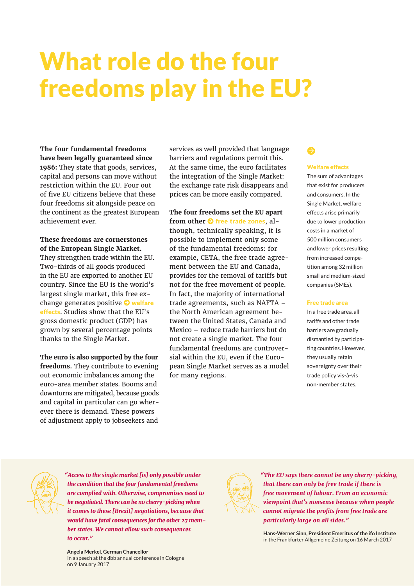# What role do the four freedoms play in the EU?

**The four fundamental freedoms have been legally guaranteed since 1986:** They state that goods, services, capital and persons can move without restriction within the EU. Four out of five EU citizens believe that these four freedoms sit alongside peace on the continent as the greatest European achievement ever.

**These freedoms are cornerstones of the European Single Market.** They strengthen trade within the EU. Two-thirds of all goods produced in the EU are exported to another EU country. Since the EU is the world's largest single market, this free exchange generates positive  $\Theta$  welfare

effects. Studies show that the EU's gross domestic product (GDP) has grown by several percentage points thanks to the Single Market.

**The euro is also supported by the four freedoms.** They contribute to evening out economic imbalances among the euro-area member states. Booms and downturns are mitigated, because goods and capital in particular can go wherever there is demand. These powers of adjustment apply to jobseekers and

services as well provided that language barriers and regulations permit this. At the same time, the euro facilitates the integration of the Single Market: the exchange rate risk disappears and prices can be more easily compared.

#### **The four freedoms set the EU apart**

**from other**  $\Theta$  **free trade zones, al**though, technically speaking, it is possible to implement only some of the fundamental freedoms: for example, CETA, the free trade agreement between the EU and Canada, provides for the removal of tarifs but not for the free movement of people. In fact, the majority of international trade agreements, such as NAFTA – the North American agreement between the United States, Canada and Mexico – reduce trade barriers but do not create a single market. The four fundamental freedoms are controversial within the EU, even if the European Single Market serves as a model for many regions.

### $\bullet$

#### Welfare effects

The sum of advantages that exist for producers and consumers. In the Single Market, welfare effects arise primarily due to lower production costs in a market of 500 million consumers and lower prices resulting from increased competition among 32 million small and medium-sized companies (SMEs).

#### Free trade area

In a free trade area, all tariffs and other trade barriers are gradually dismantled by participating countries. However, they usually retain sovereignty over their trade policy vis-à-vis non-member states.



*"Access to the single market [is] only possible under the condition that the four fundamental freedoms are complied with. Otherwise, compromises need to be negotiated. There can be no cherry-picking when it comes to these [Brexit] negotiations, because that would have fatal consequences for the other 27 member states. We cannot allow such consequences to occur."*

**Angela Merkel, German Chancellor**  in a speech at the dbb annual conference in Cologne on 9 January 2017



*"The EU says there cannot be any cherry-picking, that there can only be free trade if there is free movement of labour. From an economic viewpoint that's nonsense because when people cannot migrate the profits from free trade are particularly large on all sides."*

**Hans-Werner Sinn, President Emeritus of the ifo Institute**  in the Frankfurter Allgemeine Zeitung on 16 March 2017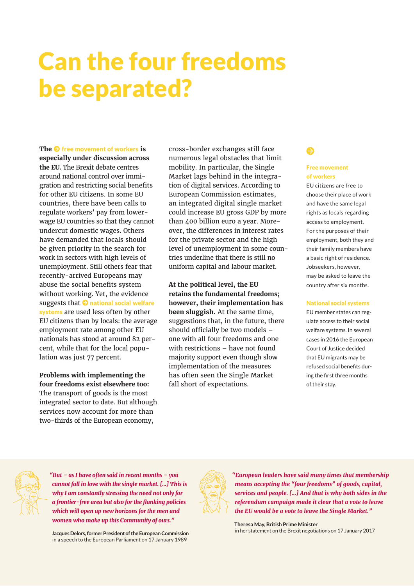# Can the four freedoms be separated?

**The**  $\odot$  **free movement of workers is especially under discussion across the EU.** The Brexit debate centres around national control over immigration and restricting social benefits for other EU citizens. In some EU countries, there have been calls to regulate workers' pay from lowerwage EU countries so that they cannot undercut domestic wages. Others have demanded that locals should be given priority in the search for work in sectors with high levels of unemployment. Still others fear that recently-arrived Europeans may abuse the social benefits system without working. Yet, the evidence suggests that  $\Theta$  national social welfare systems are used less often by other EU citizens than by locals: the average employment rate among other EU nationals has stood at around 82 percent, while that for the local population was just 77 percent.

#### **Problems with implementing the four freedoms exist elsewhere too:**

The transport of goods is the most integrated sector to date. But although services now account for more than two-thirds of the European economy,

cross-border exchanges still face numerous legal obstacles that limit mobility. In particular, the Single Market lags behind in the integration of digital services. According to European Commission estimates, an integrated digital single market could increase EU gross GDP by more than 400 billion euro a year. Moreover, the diferences in interest rates for the private sector and the high level of unemployment in some countries underline that there is still no uniform capital and labour market.

**At the political level, the EU retains the fundamental freedoms; however, their implementation has been sluggish.** At the same time, suggestions that, in the future, there should officially be two models  $$ one with all four freedoms and one with restrictions – have not found majority support even though slow implementation of the measures has often seen the Single Market fall short of expectations.

### ●

#### Free movement of workers

EU citizens are free to choose their place of work and have the same legal rights as locals regarding access to employment. For the purposes of their employment, both they and their family members have a basic right of residence. Jobseekers, however, may be asked to leave the country after six months.

#### National social systems

EU member states can regulate access to their social welfare systems. In several cases in 2016 the European Court of Justice decided that EU migrants may be refused social benefts during the frst three months of their stay.

*"But – as I have often said in recent months – you cannot fall in love with the single market. […] This is why I am constantly stressing the need not only for a frontier-free area but also for the fanking policies which will open up new horizons for the men and women who make up this Community of ours."*

**Jacques Delors, former President of the European Commission**  in a speech to the European Parliament on 17 January 1989



*"European leaders have said many times that membership means accepting the "four freedoms" of goods, capital, services and people. […] And that is why both sides in the referendum campaign made it clear that a vote to leave the EU would be a vote to leave the Single Market."*

**Theresa May, British Prime Minister**  in her statement on the Brexit negotiations on 17 January 2017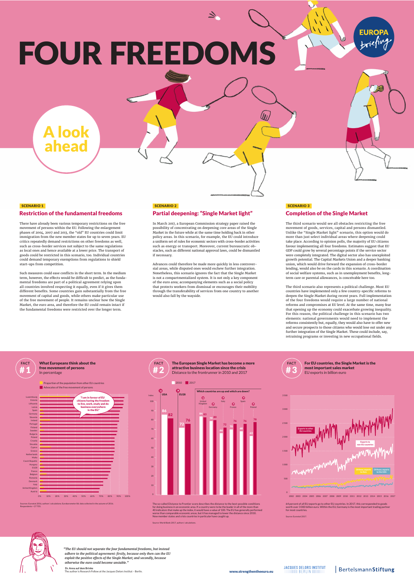# FOUR FREEDOMS

#### SCENARIO 1 Restriction of the fundamental freedoms

A look

ahead

There have already been various temporary restrictions on the free movement of persons within the EU. Following the enlargement phases of 2004, 2007 and 2013, the "old" EU countries could limit immigration from the new member states for up to seven years. EU critics repeatedly demand restrictions on other freedoms as well, such as cross-border services not subject to the same regulations as local ones and hence available at a lower price. The transport of goods could be restricted in this scenario, too. Individual countries could demand temporary exemptions from regulations to shield start-ups from competition.

Such measures could ease conflicts in the short term. In the medium<br>term, however, the effects would be difficult to predict, as the funda-<br>mental freedoms are part of a political agreement relying upon<br>all countries invol of the free movement of people. It remains unclear how the Single Market, the euro area, and therefore the EU could remain intact if the fundamental freedoms were restricted over the longer term.

#### SCENARIO 2 Partial deepening: "Single Market light"

In March 2017, a European Commission strategy paper raised the possibility of concentrating on deepening core areas of the Single Market in the future while at the same time holding back in other policy areas. In this scenario, for example, the EU could introduce a uniform set of rules for economic sectors with cross-border activities such as energy or transport. Moreover, current bureaucratic obstacles, such as diferent national approval laws, could be dismantled if necessary.

 $\overline{\mathbf{z}}$ 

 $(y_U$ 

Advances could therefore be made more quickly in less controversial areas, while disputed ones would eschew turther integration.<br>Nonetheless, this scenario ignores the fact that the Single Market<br>is not a compartmentalized system. It is not only a key component<br>of the euro area; accom would also fall by the wayside.

#### SCENARIO 3 Completion of the Single Market

The third scenario would see all obstacles restricting the free movement of goods, services, capital and persons dismantled. Unlike the "Single Market light" scenario, this option would do more than just select individual areas where deepening could take place. According to opinion polls, the majority of EU citizens favour implementing all four freedoms. Estimates suggest that EU GDP could grow by several percentage points if the service sector were completely integrated. The digital sector also has unexploited growth potential. The Capital Markets Union and a deeper banking union, which would drive forward the expansion of cross-border lending, would also be on the cards in this scenario. A coordination of social welfare systems, such as in unemployment benefts, long-term care or parental allowances, is conceivable here too.

**EUROP** 

 $\pi$ iefiv

 $\mathbf{u}$ 

The third scenario also represents a political challenge. Most EU countries have implemented only a few country-specific reforms to<br>deepen the Single Market during recent years. Full implementation<br>of the four freedoms would require a large number of national<br>reforms and compromises at E For this reason, the political challenge in this scenario has two elements: national governments would need to implement the reforms consistently but, equally, they would also have to ofer new and secure prospects to those citizens who would lose out under any further integration of the Single Market. These could include, say, retraining programs or investing in new occupational felds.



#### What Europeans think about the free movement of persons  $\begin{pmatrix} \#2 \end{pmatrix}$



Sources: Eurostat 2016, authors' calculations; Eurobarometer 86: data collected in the autumn of 2016. Respondents = 27 705.

most important sales market #1 EU exports in billion euro Distance to the frontrunner in 2010 and 2017 **FACT** What Europeans think about the **FACT** The European Single Market has become a more attractive business location since the crisis **FACT**



The so-called Distance to Frontier score describes the distance to the best-possible conditions for doing business in an economic area. If a country were to be the leader in all of the more than 10 indicators the indices up the indices up the index, it would have a value of 100. The EU has ge worse than comparable economic areas, but it has managed to lower the distance since 2010. New member states and crisis countries in particular have caught up. Source: World Bank 2017, authors' calculations.



For EU countries, the Single Market is the



64 percent of all EU exports go to other EU countries. In 2017, this corresponded to goods worth over 3 000 billion euro. Within the EU, Germany is the most important trading partner for most countries. Source: Eurostat 2017.



*"The EU should not separate the four fundamental freedoms, but instead adhere to the political agreement: frstly, because only then can the EU exploit the positive efects of the Single Market; and secondly, because otherwise the euro could become unstable."* 

Dr. Anna auf dem Brinke<br>The author is Research Fellow at the Jacques Delors Institut – Berlin. www.strengthentheeuro.eu<br>Www.strengthentheeuro.eu